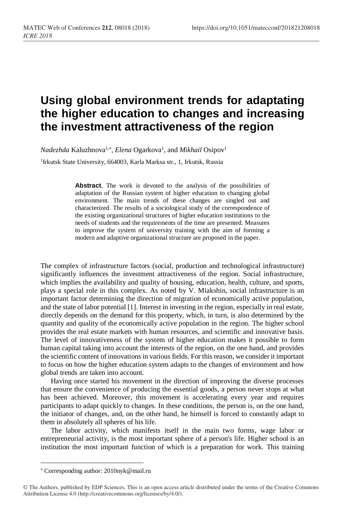## **Using global environment trends for adaptating the higher education to changes and increasing the investment attractiveness of the region**

 $Nadezhda$  Kaluzhnova<sup>1,\*</sup>, *Elena* Ogarkova<sup>1</sup>, and *Mikhail* Osipov<sup>1</sup>

<sup>1</sup>Irkutsk State University, 664003, Karla Marksa str., 1, Irkutsk, Russia

**Abstract**. The work is devoted to the analysis of the possibilities of adaptation of the Russian system of higher education to changing global environment. The main trends of these changes are singled out and characterized. The results of a sociological study of the correspondence of the existing organizational structures of higher education institutions to the needs of students and the requirements of the time are presented. Measures to improve the system of university training with the aim of forming a modern and adaptive organizational structure are proposed in the paper.

The complex of infrastructure factors (social, production and technological infrastructure) significantly influences the investment attractiveness of the region. Social infrastructure, which implies the availability and quality of housing, education, health, culture, and sports, plays a special role in this complex. As noted by V. Miakshin, social infrastructure is an important factor determining the direction of migration of economically active population, and the state of labor potential [1]. Interest in investing in the region, especially in real estate, directly depends on the demand for this property, which, in turn, is also determined by the quantity and quality of the economically active population in the region. The higher school provides the real estate markets with human resources, and scientific and innovative basis. The level of innovativeness of the system of higher education makes it possible to form human capital taking into account the interests of the region, on the one hand, and provides the scientific content of innovations in various fields. For this reason, we consider it important to focus on how the higher education system adapts to the changes of environment and how global trends are taken into account.

Having once started his movement in the direction of improving the diverse processes that ensure the convenience of producing the essential goods, a person never stops at what has been achieved. Moreover, this movement is accelerating every year and requires participants to adapt quickly to changes. In these conditions, the person is, on the one hand, the initiator of changes, and, on the other hand, he himself is forced to constantly adapt to them in absolutely all spheres of his life.

The labor activity, which manifests itself in the main two forms, wage labor or entrepreneurial activity, is the most important sphere of a person's life. Higher school is an institution the most important function of which is a preparation for work. This training

 $\overline{\phantom{a}}$ 

Corresponding author: 2010nyk@mail.ru

<sup>©</sup> The Authors, published by EDP Sciences. This is an open access article distributed under the terms of the Creative Commons Attribution License 4.0 (http://creativecommons.org/licenses/by/4.0/).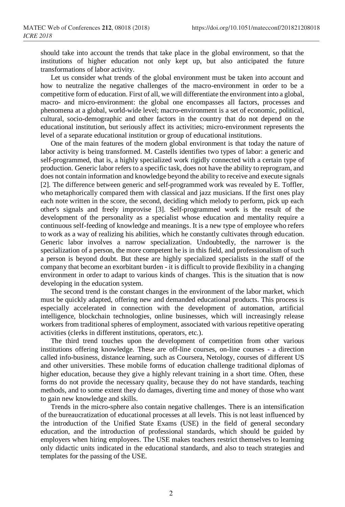should take into account the trends that take place in the global environment, so that the institutions of higher education not only kept up, but also anticipated the future transformations of labor activity.

Let us consider what trends of the global environment must be taken into account and how to neutralize the negative challenges of the macro-environment in order to be a competitive form of education. First of all, we will differentiate the environment into a global, macro- and micro-environment: the global one encompasses all factors, processes and phenomena at a global, world-wide level; macro-environment is a set of economic, political, cultural, socio-demographic and other factors in the country that do not depend on the educational institution, but seriously affect its activities; micro-environment represents the level of a separate educational institution or group of educational institutions.

One of the main features of the modern global environment is that today the nature of labor activity is being transformed. M. Castells identifies two types of labor: a generic and self-programmed, that is, a highly specialized work rigidly connected with a certain type of production. Generic labor refers to a specific task, does not have the ability to reprogram, and does not contain information and knowledge beyond the ability to receive and execute signals [2]. The difference between generic and self-programmed work was revealed by E. Toffler, who metaphorically compared them with classical and jazz musicians. If the first ones play each note written in the score, the second, deciding which melody to perform, pick up each other's signals and freely improvise [3]. Self-programmed work is the result of the development of the personality as a specialist whose education and mentality require a continuous self-feeding of knowledge and meanings. It is a new type of employee who refers to work as a way of realizing his abilities, which he constantly cultivates through education. Generic labor involves a narrow specialization. Undoubtedly, the narrower is the specialization of a person, the more competent he is in this field, and professionalism of such a person is beyond doubt. But these are highly specialized specialists in the staff of the company that become an exorbitant burden - it is difficult to provide flexibility in a changing environment in order to adapt to various kinds of changes. This is the situation that is now developing in the education system.

The second trend is the constant changes in the environment of the labor market, which must be quickly adapted, offering new and demanded educational products. This process is especially accelerated in connection with the development of automation, artificial intelligence, blockchain technologies, online businesses, which will increasingly release workers from traditional spheres of employment, associated with various repetitive operating activities (clerks in different institutions, operators, etc.).

The third trend touches upon the development of competition from other various institutions offering knowledge. These are off-line courses, on-line courses - a direction called info-business, distance learning, such as Coursera, Netology, courses of different US and other universities. These mobile forms of education challenge traditional diplomas of higher education, because they give a highly relevant training in a short time. Often, these forms do not provide the necessary quality, because they do not have standards, teaching methods, and to some extent they do damages, diverting time and money of those who want to gain new knowledge and skills.

Trends in the micro-sphere also contain negative challenges. There is an intensification of the bureaucratization of educational processes at all levels. This is not least influenced by the introduction of the Unified State Exams (USE) in the field of general secondary education, and the introduction of professional standards, which should be guided by employers when hiring employees. The USE makes teachers restrict themselves to learning only didactic units indicated in the educational standards, and also to teach strategies and templates for the passing of the USE.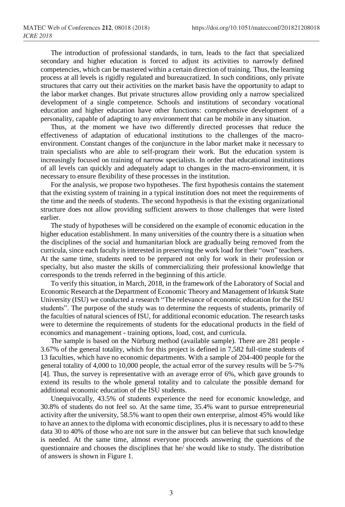The introduction of professional standards, in turn, leads to the fact that specialized secondary and higher education is forced to adjust its activities to narrowly defined competencies, which can be mastered within a certain direction of training. Thus, the learning process at all levels is rigidly regulated and bureaucratized. In such conditions, only private structures that carry out their activities on the market basis have the opportunity to adapt to the labor market changes. But private structures allow providing only a narrow specialized development of a single competence. Schools and institutions of secondary vocational education and higher education have other functions: comprehensive development of a personality, capable of adapting to any environment that can be mobile in any situation.

Thus, at the moment we have two differently directed processes that reduce the effectiveness of adaptation of educational institutions to the challenges of the macroenvironment. Constant changes of the conjuncture in the labor market make it necessary to train specialists who are able to self-program their work. But the education system is increasingly focused on training of narrow specialists. In order that educational institutions of all levels can quickly and adequately adapt to changes in the macro-environment, it is necessary to ensure flexibility of these processes in the institution.

For the analysis, we propose two hypotheses. The first hypothesis contains the statement that the existing system of training in a typical institution does not meet the requirements of the time and the needs of students. The second hypothesis is that the existing organizational structure does not allow providing sufficient answers to those challenges that were listed earlier.

The study of hypotheses will be considered on the example of economic education in the higher education establishment. In many universities of the country there is a situation when the disciplines of the social and humanitarian block are gradually being removed from the curricula, since each faculty is interested in preserving the work load for their "own" teachers. At the same time, students need to be prepared not only for work in their profession or specialty, but also master the skills of commercializing their professional knowledge that corresponds to the trends referred in the beginning of this article.

To verify this situation, in March, 2018, in the framework of the Laboratory of Social and Economic Research at the Department of Economic Theory and Management of Irkutsk State University (ISU) we conducted a research "The relevance of economic education for the ISU students". The purpose of the study was to determine the requests of students, primarily of the faculties of natural sciences of ISU, for additional economic education. The research tasks were to determine the requirements of students for the educational products in the field of economics and management - training options, load, cost, and curricula.

The sample is based on the Nürburg method (available sample). There are 281 people - 3.67% of the general totality, which for this project is defined in 7,582 full-time students of 13 faculties, which have no economic departments. With a sample of 204-400 people for the general totality of 4,000 to 10,000 people, the actual error of the survey results will be 5-7% [4]. Thus, the survey is representative with an average error of 6%, which gave grounds to extend its results to the whole general totality and to calculate the possible demand for additional economic education of the ISU students.

Unequivocally, 43.5% of students experience the need for economic knowledge, and 30.8% of students do not feel so. At the same time, 35.4% want to pursue entrepreneurial activity after the university, 58.5% want to open their own enterprise, almost 45% would like to have an annex to the diploma with economic disciplines, plus it is necessary to add to these data 30 to 40% of those who are not sure in the answer but can believe that such knowledge is needed. At the same time, almost everyone proceeds answering the questions of the questionnaire and chooses the disciplines that he/ she would like to study. The distribution of answers is shown in Figure 1.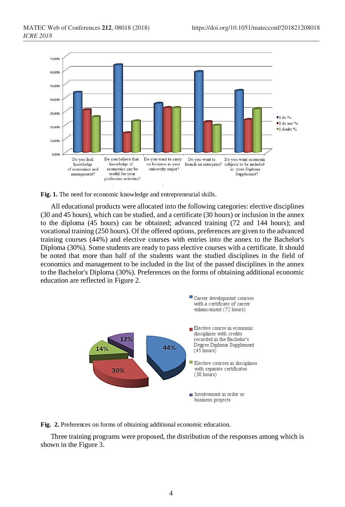



All educational products were allocated into the following categories: elective disciplines (30 and 45 hours), which can be studied, and a certificate (30 hours) or inclusion in the annex to the diploma (45 hours) can be obtained; advanced training (72 and 144 hours); and vocational training (250 hours). Of the offered options, preferences are given to the advanced training courses (44%) and elective courses with entries into the annex to the Bachelor's Diploma (30%). Some students are ready to pass elective courses with a certificate. It should be noted that more than half of the students want the studied disciplines in the field of economics and management to be included in the list of the passed disciplines in the annex to the Bachelor's Diploma (30%). Preferences on the forms of obtaining additional economic education are reflected in Figure 2.



**Fig. 2.** Preferences on forms of obtaining additional economic education.

Three training programs were proposed, the distribution of the responses among which is shown in the Figure 3.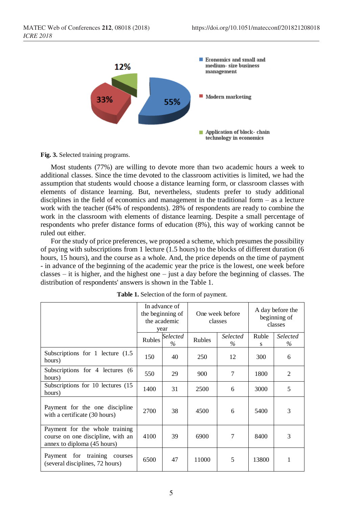

**Fig. 3.** Selected training programs.

Most students (77%) are willing to devote more than two academic hours a week to additional classes. Since the time devoted to the classroom activities is limited, we had the assumption that students would choose a distance learning form, or classroom classes with elements of distance learning. But, nevertheless, students prefer to study additional disciplines in the field of economics and management in the traditional form – as a lecture work with the teacher (64% of respondents). 28% of respondents are ready to combine the work in the classroom with elements of distance learning. Despite a small percentage of respondents who prefer distance forms of education (8%), this way of working cannot be ruled out either.

For the study of price preferences, we proposed a scheme, which presumes the possibility of paying with subscriptions from 1 lecture (1.5 hours) to the blocks of different duration (6 hours, 15 hours), and the course as a whole. And, the price depends on the time of payment - in advance of the beginning of the academic year the price is the lowest, one week before classes – it is higher, and the highest one – just a day before the beginning of classes. The distribution of respondents' answers is shown in the Table 1.

|                                                                                                    | In advance of<br>the beginning of<br>the academic<br>year |                  | One week before<br>classes |                         | A day before the<br>beginning of<br>classes |                  |
|----------------------------------------------------------------------------------------------------|-----------------------------------------------------------|------------------|----------------------------|-------------------------|---------------------------------------------|------------------|
|                                                                                                    | <b>Rubles</b>                                             | Selected<br>$\%$ | Rubles                     | <b>Selected</b><br>$\%$ | Ruble<br>S                                  | Selected<br>$\%$ |
| Subscriptions for 1 lecture $(1.5$<br>hours)                                                       | 150                                                       | 40               | 250                        | 12                      | 300                                         | 6                |
| Subscriptions for 4 lectures (6<br>hours)                                                          | 550                                                       | 29               | 900                        | $\tau$                  | 1800                                        | $\overline{c}$   |
| Subscriptions for 10 lectures (15)<br>hours)                                                       | 1400                                                      | 31               | 2500                       | 6                       | 3000                                        | 5                |
| Payment for the one discipline<br>with a certificate (30 hours)                                    | 2700                                                      | 38               | 4500                       | 6                       | 5400                                        | 3                |
| Payment for the whole training<br>course on one discipline, with an<br>annex to diploma (45 hours) | 4100                                                      | 39               | 6900                       | 7                       | 8400                                        | 3                |
| Payment for training<br>courses<br>(several disciplines, 72 hours)                                 | 6500                                                      | 47               | 11000                      | 5                       | 13800                                       | 1                |

**Table 1.** Selection of the form of payment.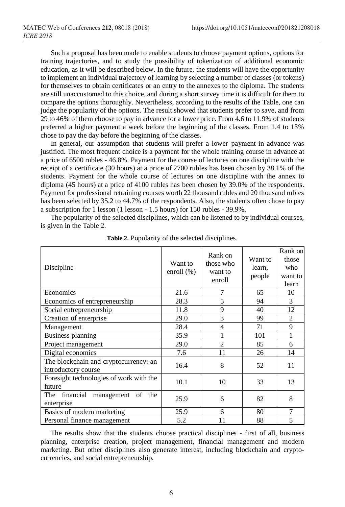Such a proposal has been made to enable students to choose payment options, options for training trajectories, and to study the possibility of tokenization of additional economic education, as it will be described below. In the future, the students will have the opportunity to implement an individual trajectory of learning by selecting a number of classes (or tokens) for themselves to obtain certificates or an entry to the annexes to the diploma. The students are still unaccustomed to this choice, and during a short survey time it is difficult for them to compare the options thoroughly. Nevertheless, according to the results of the Table, one can judge the popularity of the options. The result showed that students prefer to save, and from 29 to 46% of them choose to pay in advance for a lower price. From 4.6 to 11.9% of students preferred a higher payment a week before the beginning of the classes. From 1.4 to 13% chose to pay the day before the beginning of the classes.

In general, our assumption that students will prefer a lower payment in advance was justified. The most frequent choice is a payment for the whole training course in advance at a price of 6500 rubles - 46.8%. Payment for the course of lectures on one discipline with the receipt of a certificate (30 hours) at a price of 2700 rubles has been chosen by 38.1% of the students. Payment for the whole course of lectures on one discipline with the annex to diploma (45 hours) at a price of 4100 rubles has been chosen by 39.0% of the respondents. Payment for professional retraining courses worth 22 thousand rubles and 20 thousand rubles has been selected by 35.2 to 44.7% of the respondents. Also, the students often chose to pay a subscription for 1 lesson (1 lesson - 1.5 hours) for 150 rubles - 39.9%.

The popularity of the selected disciplines, which can be listened to by individual courses, is given in the Table 2.

| Discipline                                                   | Want to<br>enroll $(\%)$ | Rank on<br>those who<br>want to<br>enroll | Want to<br>learn,<br>people | Rank on<br>those<br>who<br>want to<br>learn |
|--------------------------------------------------------------|--------------------------|-------------------------------------------|-----------------------------|---------------------------------------------|
| Economics                                                    | 21.6                     | 7                                         | 65                          | 10                                          |
| Economics of entrepreneurship                                | 28.3                     | 5                                         | 94                          | 3                                           |
| Social entrepreneurship                                      | 11.8                     | 9                                         | 40                          | 12                                          |
| Creation of enterprise                                       | 29.0                     | 3                                         | 99                          | $\overline{2}$                              |
| Management                                                   | 28.4                     | $\overline{4}$                            | 71                          | 9                                           |
| <b>Business planning</b>                                     | 35.9                     |                                           | 101                         | 1                                           |
| Project management                                           | 29.0                     | $\mathfrak{D}$                            | 85                          | 6                                           |
| Digital economics                                            | 7.6                      | 11                                        | 26                          | 14                                          |
| The blockchain and cryptocurrency: an<br>introductory course | 16.4                     | 8                                         | 52                          | 11                                          |
| Foresight technologies of work with the<br>future            | 10.1                     | 10                                        | 33                          | 13                                          |
| The financial management of<br>the<br>enterprise             | 25.9                     | 6                                         | 82                          | 8                                           |
| Basics of modern marketing                                   | 25.9                     | 6                                         | 80                          | 7                                           |
| Personal finance management                                  | 5.2                      | 11                                        | 88                          | 5                                           |

**Table 2.** Popularity of the selected disciplines.

The results show that the students choose practical disciplines - first of all, business planning, enterprise creation, project management, financial management and modern marketing. But other disciplines also generate interest, including blockchain and cryptocurrencies, and social entrepreneurship.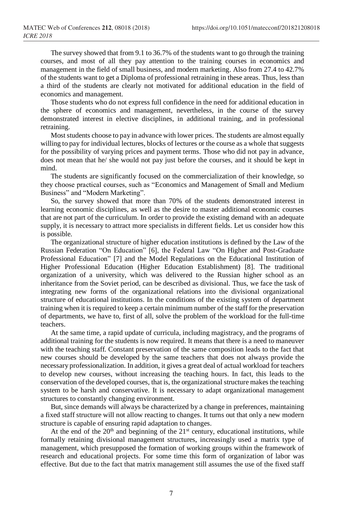The survey showed that from 9.1 to 36.7% of the students want to go through the training courses, and most of all they pay attention to the training courses in economics and management in the field of small business, and modern marketing. Also from 27.4 to 42.7% of the students want to get a Diploma of professional retraining in these areas. Thus, less than a third of the students are clearly not motivated for additional education in the field of economics and management.

Those students who do not express full confidence in the need for additional education in the sphere of economics and management, nevertheless, in the course of the survey demonstrated interest in elective disciplines, in additional training, and in professional retraining.

Most students choose to pay in advance with lower prices. The students are almost equally willing to pay for individual lectures, blocks of lectures or the course as a whole that suggests for the possibility of varying prices and payment terms. Those who did not pay in advance, does not mean that he/ she would not pay just before the courses, and it should be kept in mind.

The students are significantly focused on the commercialization of their knowledge, so they choose practical courses, such as "Economics and Management of Small and Medium Business" and "Modern Marketing".

So, the survey showed that more than 70% of the students demonstrated interest in learning economic disciplines, as well as the desire to master additional economic courses that are not part of the curriculum. In order to provide the existing demand with an adequate supply, it is necessary to attract more specialists in different fields. Let us consider how this is possible.

The organizational structure of higher education institutions is defined by the Law of the Russian Federation "On Education" [6], the Federal Law "On Higher and Post-Graduate Professional Education" [7] and the Model Regulations on the Educational Institution of Higher Professional Education (Higher Education Establishment) [8]. The traditional organization of a university, which was delivered to the Russian higher school as an inheritance from the Soviet period, can be described as divisional. Thus, we face the task of integrating new forms of the organizational relations into the divisional organizational structure of educational institutions. In the conditions of the existing system of department training when it is required to keep a certain minimum number of the staff for the preservation of departments, we have to, first of all, solve the problem of the workload for the full-time teachers.

At the same time, a rapid update of curricula, including magistracy, and the programs of additional training for the students is now required. It means that there is a need to maneuver with the teaching staff. Constant preservation of the same composition leads to the fact that new courses should be developed by the same teachers that does not always provide the necessary professionalization. In addition, it gives a great deal of actual workload for teachers to develop new courses, without increasing the teaching hours. In fact, this leads to the conservation of the developed courses, that is, the organizational structure makes the teaching system to be harsh and conservative. It is necessary to adapt organizational management structures to constantly changing environment.

But, since demands will always be characterized by a change in preferences, maintaining a fixed staff structure will not allow reacting to changes. It turns out that only a new modern structure is capable of ensuring rapid adaptation to changes.

At the end of the  $20<sup>th</sup>$  and beginning of the  $21<sup>st</sup>$  century, educational institutions, while formally retaining divisional management structures, increasingly used a matrix type of management, which presupposed the formation of working groups within the framework of research and educational projects. For some time this form of organization of labor was effective. But due to the fact that matrix management still assumes the use of the fixed staff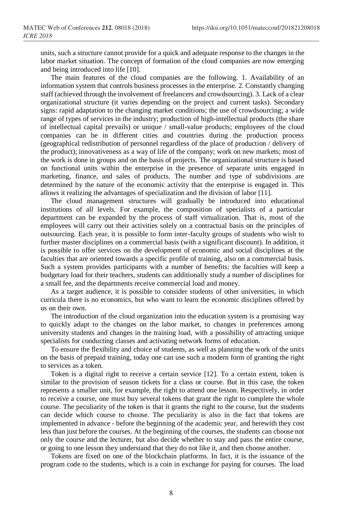units, such a structure cannot provide for a quick and adequate response to the changes in the labor market situation. The concept of formation of the cloud companies are now emerging and being introduced into life [10].

The main features of the cloud companies are the following. 1. Availability of an information system that controls business processes in the enterprise. 2. Constantly changing staff (achieved through the involvement of freelancers and crowdsourcing). 3. Lack of a clear organizational structure (it varies depending on the project and current tasks). Secondary signs: rapid adaptation to the changing market conditions; the use of crowdsourcing; a wide range of types of services in the industry; production of high-intellectual products (the share of intellectual capital prevails) or unique / small-value products; employees of the cloud companies can be in different cities and countries during the production process (geographical redistribution of personnel regardless of the place of production / delivery of the product); innovativeness as a way of life of the company; work on new markets; most of the work is done in groups and on the basis of projects. The organizational structure is based on functional units within the enterprise in the presence of separate units engaged in marketing, finance, and sales of products. The number and type of subdivisions are determined by the nature of the economic activity that the enterprise is engaged in. This allows it realizing the advantages of specialization and the division of labor [11].

The cloud management structures will gradually be introduced into educational institutions of all levels. For example, the composition of specialists of a particular department can be expanded by the process of staff virtualization. That is, most of the employees will carry out their activities solely on a contractual basis on the principles of outsourcing. Each year, it is possible to form inter-faculty groups of students who wish to further master disciplines on a commercial basis (with a significant discount). In addition, it is possible to offer services on the development of economic and social disciplines at the faculties that are oriented towards a specific profile of training, also on a commercial basis. Such a system provides participants with a number of benefits: the faculties will keep a budgetary load for their teachers, students can additionally study a number of disciplines for a small fee, and the departments receive commercial load and money.

As a target audience, it is possible to consider students of other universities, in which curricula there is no economics, but who want to learn the economic disciplines offered by us on their own.

The introduction of the cloud organization into the education system is a promising way to quickly adapt to the changes on the labor market, to changes in preferences among university students and changes in the training load, with a possibility of attracting unique specialists for conducting classes and activating network forms of education.

To ensure the flexibility and choice of students, as well as planning the work of the units on the basis of prepaid training, today one can use such a modern form of granting the right to services as a token.

Token is a digital right to receive a certain service [12]. To a certain extent, token is similar to the provision of season tickets for a class or course. But in this case, the token represents a smaller unit, for example, the right to attend one lesson. Respectively, in order to receive a course, one must buy several tokens that grant the right to complete the whole course. The peculiarity of the token is that it grants the right to the course, but the students can decide which course to choose. The peculiarity is also in the fact that tokens are implemented in advance - before the beginning of the academic year, and herewith they cost less than just before the courses. At the beginning of the courses, the students can choose not only the course and the lecturer, but also decide whether to stay and pass the entire course, or going to one lesson they understand that they do not like it, and then choose another.

Tokens are fixed on one of the blockchain platforms. In fact, it is the issuance of the program code to the students, which is a coin in exchange for paying for courses. The load